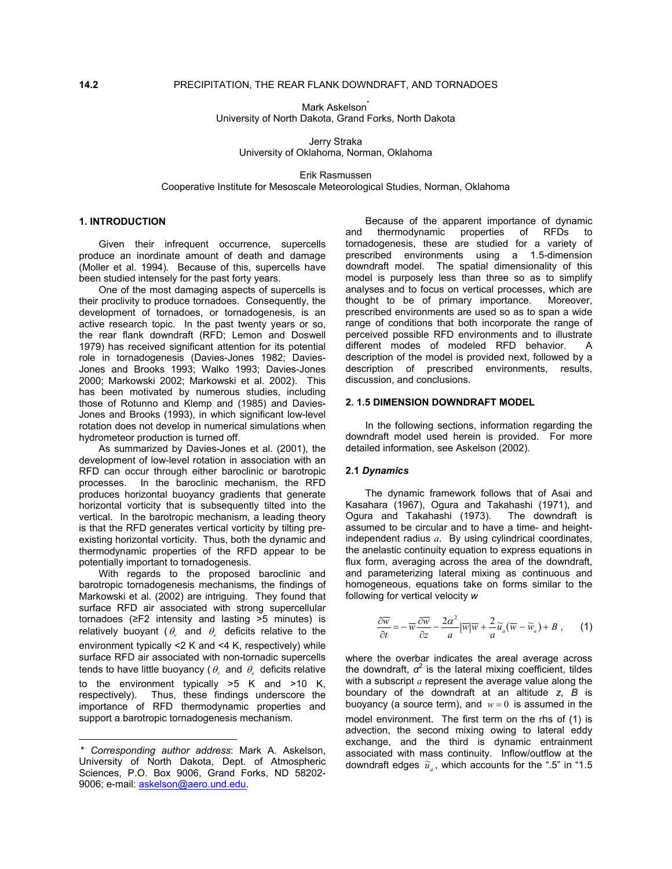Mark Askelson<sup>\*</sup> University of North Dakota, Grand Forks, North Dakota

Jerry Straka University of Oklahoma, Norman, Oklahoma

Erik Rasmussen Cooperative Institute for Mesoscale Meteorological Studies, Norman, Oklahoma

Given their infrequent occurrence, supercells produce an inordinate amount of death and damage (Moller et al. 1994). Because of this, supercells have been studied intensely for the past forty years.

One of the most damaging aspects of supercells is their proclivity to produce tornadoes. Consequently, the development of tornadoes, or tornadogenesis, is an active research topic. In the past twenty years or so, the rear flank downdraft (RFD; Lemon and Doswell 1979) has received significant attention for its potential role in tornadogenesis (Davies-Jones 1982; Davies-Jones and Brooks 1993; Walko 1993; Davies-Jones 2000; Markowski 2002; Markowski et al. 2002). This has been motivated by numerous studies, including those of Rotunno and Klemp and (1985) and Davies-Jones and Brooks (1993), in which significant low-level rotation does not develop in numerical simulations when hydrometeor production is turned off.

As summarized by Davies-Jones et al. (2001), the detailed information, see Askelson (2002). development of low-level rotation in association with an RFD can occur through either baroclinic or barotropic processes. In the baroclinic mechanism, the RFD produces horizontal buoyancy gradients that generate horizontal vorticity that is subsequently tilted into the vertical. In the barotropic mechanism, a leading theory is that the RFD generates vertical vorticity by tilting preexisting horizontal vorticity. Thus, both the dynamic and thermodynamic properties of the RFD appear to be potentially important to tornadogenesis.

With regards to the proposed baroclinic and barotropic tornadogenesis mechanisms, the findings of Markowski et al. (2002) are intriguing. They found that surface RFD air associated with strong supercellular tornadoes (≥F2 intensity and lasting >5 minutes) is relatively buoyant ( $\theta$ , and  $\theta$ , deficits relative to the environment typically <2 K and <4 K, respectively) while surface RFD air associated with non-tornadic supercells tends to have little buoyancy (  $\theta_{\scriptscriptstyle{\nu}}$  and  $\theta_{\scriptscriptstyle{e}}$  deficits relative to the environment typically >5 K and >10 K,

respectively). Thus, these findings underscore the importance of RFD thermodynamic properties and support a barotropic tornadogenesis mechanism.

l

**1. I[N](#page-0-0)TRODUCTION**<br>**1. INTRODUCTION** Because of the apparent importance of dynamic<br>and thermodynamic properties of RFDs to thermodynamic properties of RFDs to tornadogenesis, these are studied for a variety of prescribed environments using a 1.5-dimension downdraft model. The spatial dimensionality of this model is purposely less than three so as to simplify analyses and to focus on vertical processes, which are thought to be of primary importance. Moreover, prescribed environments are used so as to span a wide range of conditions that both incorporate the range of perceived possible RFD environments and to illustrate different modes of modeled RFD behavior. A description of the model is provided next, followed by a description of prescribed environments, results, discussion, and conclusions.

#### **2. 1.5 DIMENSION DOWNDRAFT MODEL**

In the following sections, information regarding the downdraft model used herein is provided. For more

## **2.1** *Dynamics*

The dynamic framework follows that of Asai and Kasahara (1967), Ogura and Takahashi (1971), and Ogura and Takahashi (1973). The downdraft is assumed to be circular and to have a time- and heightindependent radius *a*. By using cylindrical coordinates, the anelastic continuity equation to express equations in flux form, averaging across the area of the downdraft, and parameterizing lateral mixing as continuous and homogeneous, equations take on forms similar to the following for vertical velocity *w*

$$
\frac{\partial \overline{w}}{\partial t} = -\overline{w} \frac{\partial \overline{w}}{\partial z} - \frac{2\alpha^2}{a} |\overline{w}|\overline{w} + \frac{2}{a} \widetilde{u}_a (\overline{w} - \widetilde{w}_a) + B , \qquad (1)
$$

where the overbar indicates the areal average across the downdraft, *α*<sup>2</sup> is the lateral mixing coefficient, tildes with a subscript *a* represent the average value along the boundary of the downdraft at an altitude *z*, *B* is buoyancy (a source term), and  $w = 0$  is assumed in the model environment. The first term on the rhs of (1) is advection, the second mixing owing to lateral eddy exchange, and the third is dynamic entrainment associated with mass continuity. Inflow/outflow at the downdraft edges  $\tilde{u}_a$ , which accounts for the ".5" in "1.5"

<span id="page-0-0"></span><sup>\*</sup> *Corresponding author address*: Mark A. Askelson, University of North Dakota, Dept. of Atmospheric Sciences, P.O. Box 9006, Grand Forks, ND 58202- 9006; e-mail: [askelson@aero.und.edu](mailto:askelson@aero.und.edu).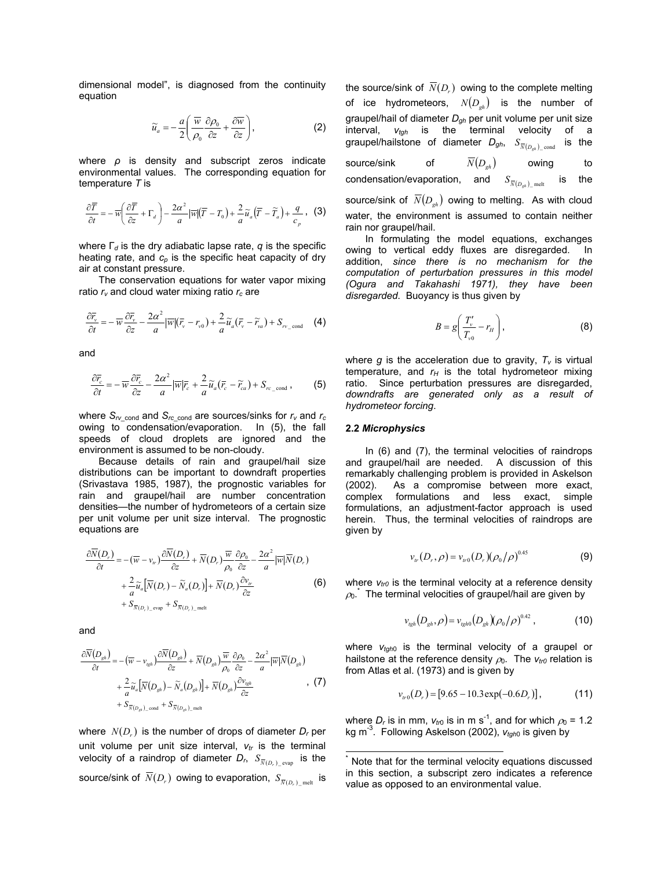dimensional model", is diagnosed from the continuity equation

$$
\widetilde{u}_a = -\frac{a}{2} \left( \frac{\overline{w}}{\rho_0} \frac{\partial \rho_0}{\partial z} + \frac{\partial \overline{w}}{\partial z} \right),\tag{2}
$$

where *ρ* is density and subscript zeros indicate environmental values. The corresponding equation for temperature *T* is

$$
\frac{\partial \overline{T}}{\partial t} = -\overline{w} \left( \frac{\partial \overline{T}}{\partial z} + \Gamma_d \right) - \frac{2\alpha^2}{a} |\overline{w}| (\overline{T} - T_0) + \frac{2}{a} \widetilde{u}_a (\overline{T} - \widetilde{T}_a) + \frac{q}{c_p}, \quad (3)
$$

where Г*d* is the dry adiabatic lapse rate, *q* is the specific heating rate, and  $c_p$  is the specific heat capacity of dry air at constant pressure.

The conservation equations for water vapor mixing ratio  $r<sub>v</sub>$  and cloud water mixing ratio  $r<sub>c</sub>$  are

$$
\frac{\partial \overline{r}_{v}}{\partial t} = -\overline{w} \frac{\partial \overline{r}_{v}}{\partial z} - \frac{2\alpha^{2}}{a} |\overline{w}| (\overline{r}_{v} - r_{v0}) + \frac{2}{a} \widetilde{u}_{a} (\overline{r}_{v} - \widetilde{r}_{va}) + S_{rv_{\text{cond}}} \quad (4)
$$

and

$$
\frac{\partial \overline{r}_c}{\partial t} = -\overline{w} \frac{\partial \overline{r}_c}{\partial z} - \frac{2\alpha^2}{a} |\overline{w}|\overline{r}_c + \frac{2}{a} \widetilde{u}_a(\overline{r}_c - \widetilde{r}_{ca}) + S_{rc\_cond} ,\qquad (5)
$$

where  $S_{rv}$  cond and  $S_{rc}$  cond are sources/sinks for  $r_v$  and  $r_c$ owing to condensation/evaporation. In (5), the fall speeds of cloud droplets are ignored and the environment is assumed to be non-cloudy.

Because details of rain and graupel/hail size distributions can be important to downdraft properties (Srivastava 1985, 1987), the prognostic variables for rain and graupel/hail are number concentration densities—the number of hydrometeors of a certain size per unit volume per unit size interval. The prognostic equations are

$$
\frac{\partial \overline{N}(D_r)}{\partial t} = -(\overline{w} - v_{tr}) \frac{\partial \overline{N}(D_r)}{\partial z} + \overline{N}(D_r) \frac{\overline{w}}{\rho_0} \frac{\partial \rho_0}{\partial z} - \frac{2\alpha^2}{a} |\overline{w}|\overline{N}(D_r) \n+ \frac{2}{a} \widetilde{u}_a [\overline{N}(D_r) - \widetilde{N}_a(D_r)] + \overline{N}(D_r) \frac{\partial v_r}{\partial z} \n+ S_{\overline{N}(D_r) \text{ even}} + S_{\overline{N}(D_r) \text{ met}}
$$
\n(6)

and

$$
\frac{\partial \overline{N}(D_{gh})}{\partial t} = -(\overline{w} - v_{gh}) \frac{\partial \overline{N}(D_{gh})}{\partial z} + \overline{N}(D_{gh}) \frac{\overline{w}}{\rho_0} \frac{\partial \rho_0}{\partial z} - \frac{2\alpha^2}{a} |\overline{w}| \overline{N}(D_{gh})
$$

$$
+ \frac{2}{a} \widetilde{u}_a [\overline{N}(D_{gh}) - \widetilde{N}_a(D_{gh})] + \overline{N}(D_{gh}) \frac{\partial v_{gh}}{\partial z}
$$
(7)  
+  $S_{\overline{N}(D_{gh}) \text{cond}} + S_{\overline{N}(D_{gh}) \text{melt}}$ 

where  $N(D<sub>r</sub>)$  is the number of drops of diameter  $D<sub>r</sub>$  per unit volume per unit size interval,  $v<sub>tr</sub>$  is the terminal velocity of a raindrop of diameter  $D_r$ ,  $S_{\overline{N}(D_r) \_ \text{evap}}$  is the source/sink of  $\,N(D_r^{})\,$  owing to evaporation,  $\,S_{\overline{N}(D_r^{})\_{\rm melt}}\,$  is the source/sink of  $\overline{N}(D_r)$  owing to the complete melting of ice hydrometeors,  $N(D_{ab})$  is the number of graupel/hail of diameter *Dgh* per unit volume per unit size interval, *vtgh* is the terminal velocity of a graupel/hailstone of diameter  $D_{gh}$ ,  $S_{\overline{N}(D_{oh}) \text{ cond}}$  is the

source/sink of  $\overline{N}(D_{gh})$  owing to condensation/evaporation, and  $S_{\overline{N}(D_{\text{gab}})_{\perp} \text{melt}}$  is the

source/sink of  $\overline{N}(D_{gh})$  owing to melting. As with cloud water, the environment is assumed to contain neither rain nor graupel/hail.

In formulating the model equations, exchanges owing to vertical eddy fluxes are disregarded. In addition, *since there is no mechanism for the computation of perturbation pressures in this model (Ogura and Takahashi 1971), they have been disregarded*. Buoyancy is thus given by

$$
B = g\left(\frac{T_v'}{T_{v0}} - r_H\right),\tag{8}
$$

where  $g$  is the acceleration due to gravity,  $T_v$  is virtual temperature, and  $r_H$  is the total hydrometeor mixing ratio. Since perturbation pressures are disregarded, *downdrafts are generated only as a result of hydrometeor forcing*.

#### **2.2** *Microphysics*

In (6) and (7), the terminal velocities of raindrops and graupel/hail are needed. A discussion of this remarkably challenging problem is provided in Askelson (2002). As a compromise between more exact, complex formulations and less exact, simple formulations, an adjustment-factor approach is used herein. Thus, the terminal velocities of raindrops are given by

$$
v_{tr}(D_r, \rho) = v_{tr0}(D_r)(\rho_0/\rho)^{0.45}
$$
 (9)

where  $v_{tr0}$  is the terminal velocity at a reference density  $\rho_{0}.^{\dagger}$  The terminal velocities of graupel/hail are given by

$$
v_{\text{g}_h}(D_{\text{g}_h}, \rho) = v_{\text{g}_h 0}(D_{\text{g}_h})(\rho_0/\rho)^{0.42}, \qquad (10)
$$

where  $v_{tgh0}$  is the terminal velocity of a graupel or hailstone at the reference density  $\rho_0$ . The  $v_{tr0}$  relation is from Atlas et al. (1973) and is given by

$$
v_{r0}(D_r) = [9.65 - 10.3 \exp(-0.6D_r)], \tag{11}
$$

where  $D_r$  is in mm,  $v_{t0}$  is in m s<sup>-1</sup>, and for which  $\rho_0$  = 1.2 kg m<sup>-3</sup>. Following Askelson (2002),  $v_{tanh}$  is given by

l

 $\overline{a}$ 

<span id="page-1-0"></span><sup>\*</sup> Note that for the terminal velocity equations discussed in this section, a subscript zero indicates a reference value as opposed to an environmental value.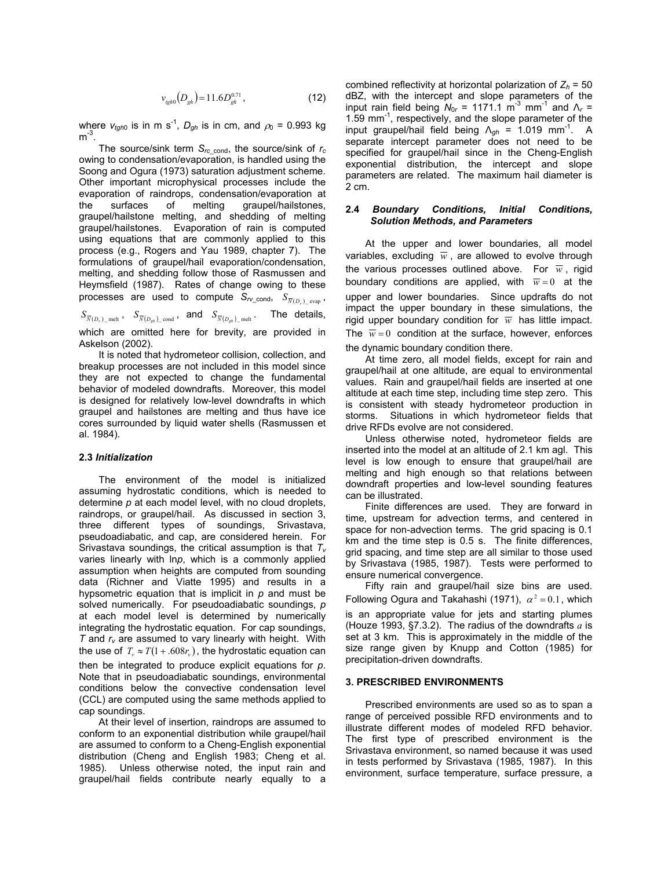$$
v_{\text{gph}}(D_{gh}) = 11.6 D_{gh}^{0.71},\tag{12}
$$

where  $v_{tqh0}$  is in m s<sup>-1</sup>,  $D_{qh}$  is in cm, and  $\rho_0$  = 0.993 kg  $m<sup>-3</sup>$ .

The source/sink term *Src*\_cond, the source/sink of *rc* owing to condensation/evaporation, is handled using the Soong and Ogura (1973) saturation adjustment scheme. Other important microphysical processes include the evaporation of raindrops, condensation/evaporation at the surfaces of melting graupel/hailstones, graupel/hailstone melting, and shedding of melting graupel/hailstones. Evaporation of rain is computed using equations that are commonly applied to this process (e.g., Rogers and Yau 1989, chapter 7). The formulations of graupel/hail evaporation/condensation, melting, and shedding follow those of Rasmussen and Heymsfield (1987). Rates of change owing to these processes are used to compute  $S_{r\text{Lcond}}$ ,  $S_{\overline{N}(D_r) \text{_{evap}}}$ ,

 $S_{\overline{N}(D_r) \_ \text{melt}}$  ,  $S_{\overline{N}(D_{gh}) \_ \text{cond}}$  , and  $S_{\overline{N}(D_{gh}) \_ \text{melt}}$  . The details, which are omitted here for brevity, are provided in Askelson (2002).

It is noted that hydrometeor collision, collection, and breakup processes are not included in this model since they are not expected to change the fundamental behavior of modeled downdrafts. Moreover, this model is designed for relatively low-level downdrafts in which graupel and hailstones are melting and thus have ice cores surrounded by liquid water shells (Rasmussen et al. 1984).

#### **2.3** *Initialization*

The environment of the model is initialized assuming hydrostatic conditions, which is needed to determine *p* at each model level, with no cloud droplets, raindrops, or graupel/hail. As discussed in section 3, three different types of soundings, Srivastava, pseudoadiabatic, and cap, are considered herein. For Srivastava soundings, the critical assumption is that *Tv* varies linearly with ln*p*, which is a commonly applied assumption when heights are computed from sounding data (Richner and Viatte 1995) and results in a hypsometric equation that is implicit in *p* and must be solved numerically. For pseudoadiabatic soundings, *p* at each model level is determined by numerically integrating the hydrostatic equation. For cap soundings,  $T$  and  $r_v$  are assumed to vary linearly with height. With the use of  $T_{\rm v}\approx T(1+.608r_{\rm v})$  , the hydrostatic equation can then be integrated to produce explicit equations for *p*. Note that in pseudoadiabatic soundings, environmental conditions below the convective condensation level (CCL) are computed using the same methods applied to cap soundings.

At their level of insertion, raindrops are assumed to conform to an exponential distribution while graupel/hail are assumed to conform to a Cheng-English exponential distribution (Cheng and English 1983; Cheng et al. 1985). Unless otherwise noted, the input rain and graupel/hail fields contribute nearly equally to a

combined reflectivity at horizontal polarization of  $Z_h = 50$ dBZ, with the intercept and slope parameters of the input rain field being  $N_{0r}$  = 1171.1 m<sup>-3</sup> mm<sup>-1</sup> and  $\Lambda_r$  = 1.59  $mm^{-1}$ , respectively, and the slope parameter of the input graupel/hail field being  $\Lambda_{gh}$  = 1.019 mm<sup>-1</sup>. A separate intercept parameter does not need to be specified for graupel/hail since in the Cheng-English exponential distribution, the intercept and slope parameters are related. The maximum hail diameter is 2 cm.

### **2.4** *Boundary Conditions, Initial Conditions, Solution Methods, and Parameters*

At the upper and lower boundaries, all model variables, excluding  $\overline{w}$ , are allowed to evolve through the various processes outlined above. For  $\overline{w}$ , rigid boundary conditions are applied, with  $\overline{w} = 0$  at the upper and lower boundaries. Since updrafts do not impact the upper boundary in these simulations, the rigid upper boundary condition for  $\overline{w}$  has little impact. The  $\overline{w} = 0$  condition at the surface, however, enforces the dynamic boundary condition there.

At time zero, all model fields, except for rain and graupel/hail at one altitude, are equal to environmental values. Rain and graupel/hail fields are inserted at one altitude at each time step, including time step zero. This is consistent with steady hydrometeor production in storms. Situations in which hydrometeor fields that drive RFDs evolve are not considered.

Unless otherwise noted, hydrometeor fields are inserted into the model at an altitude of 2.1 km agl. This level is low enough to ensure that graupel/hail are melting and high enough so that relations between downdraft properties and low-level sounding features can be illustrated.

Finite differences are used. They are forward in time, upstream for advection terms, and centered in space for non-advection terms. The grid spacing is 0.1 km and the time step is 0.5 s. The finite differences, grid spacing, and time step are all similar to those used by Srivastava (1985, 1987). Tests were performed to ensure numerical convergence.

Fifty rain and graupel/hail size bins are used. Following Ogura and Takahashi (1971),  $\alpha^2 = 0.1$ , which is an appropriate value for jets and starting plumes (Houze 1993, §7.3.2). The radius of the downdrafts *a* is set at 3 km. This is approximately in the middle of the size range given by Knupp and Cotton (1985) for precipitation-driven downdrafts.

# **3. PRESCRIBED ENVIRONMENTS**

Prescribed environments are used so as to span a range of perceived possible RFD environments and to illustrate different modes of modeled RFD behavior. The first type of prescribed environment is the Srivastava environment, so named because it was used in tests performed by Srivastava (1985, 1987). In this environment, surface temperature, surface pressure, a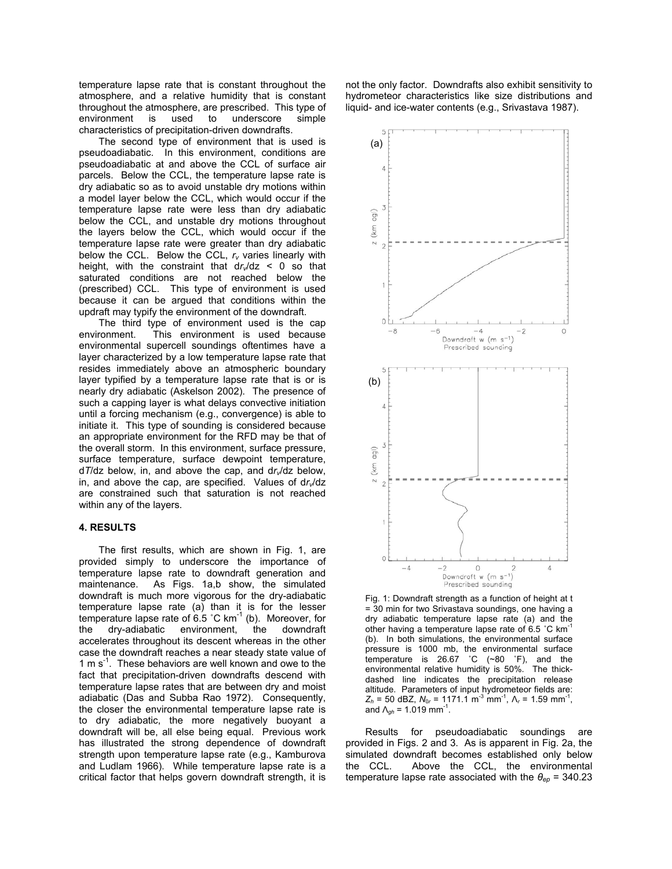temperature lapse rate that is constant throughout the atmosphere, and a relative humidity that is constant throughout the atmosphere, are prescribed. This type of environment is used to underscore simple characteristics of precipitation-driven downdrafts.

The second type of environment that is used is pseudoadiabatic. In this environment, conditions are pseudoadiabatic at and above the CCL of surface air parcels. Below the CCL, the temperature lapse rate is dry adiabatic so as to avoid unstable dry motions within a model layer below the CCL, which would occur if the temperature lapse rate were less than dry adiabatic below the CCL, and unstable dry motions throughout the layers below the CCL, which would occur if the temperature lapse rate were greater than dry adiabatic below the CCL. Below the CCL,  $r_v$  varies linearly with height, with the constraint that  $dr/dz < 0$  so that saturated conditions are not reached below the (prescribed) CCL. This type of environment is used because it can be argued that conditions within the updraft may typify the environment of the downdraft.

The third type of environment used is the cap environment. This environment is used because environmental supercell soundings oftentimes have a layer characterized by a low temperature lapse rate that resides immediately above an atmospheric boundary layer typified by a temperature lapse rate that is or is nearly dry adiabatic (Askelson 2002). The presence of such a capping layer is what delays convective initiation until a forcing mechanism (e.g., convergence) is able to initiate it. This type of sounding is considered because an appropriate environment for the RFD may be that of the overall storm. In this environment, surface pressure, surface temperature, surface dewpoint temperature, d*T*/dz below, in, and above the cap, and d*rv*/dz below, in, and above the cap, are specified. Values of dr<sub>v</sub>/dz are constrained such that saturation is not reached within any of the layers.

#### **4. RESULTS**

The first results, which are shown in Fig. 1, are provided simply to underscore the importance of temperature lapse rate to downdraft generation and maintenance. As Figs. 1a,b show, the simulated downdraft is much more vigorous for the dry-adiabatic temperature lapse rate (a) than it is for the lesser temperature lapse rate of 6.5  $^{\circ}$ C km<sup>-1</sup> (b). Moreover, for the dry-adiabatic environment, the downdraft accelerates throughout its descent whereas in the other case the downdraft reaches a near steady state value of 1 m  $s^{-1}$ . These behaviors are well known and owe to the fact that precipitation-driven downdrafts descend with temperature lapse rates that are between dry and moist adiabatic (Das and Subba Rao 1972). Consequently, the closer the environmental temperature lapse rate is to dry adiabatic, the more negatively buoyant a downdraft will be, all else being equal. Previous work has illustrated the strong dependence of downdraft strength upon temperature lapse rate (e.g., Kamburova and Ludlam 1966). While temperature lapse rate is a critical factor that helps govern downdraft strength, it is

not the only factor. Downdrafts also exhibit sensitivity to hydrometeor characteristics like size distributions and liquid- and ice-water contents (e.g., Srivastava 1987).



Fig. 1: Downdraft strength as a function of height at t = 30 min for two Srivastava soundings, one having a dry adiabatic temperature lapse rate (a) and the other having a temperature lapse rate of 6.5 ˚C km-1 (b). In both simulations, the environmental surface pressure is 1000 mb, the environmental surface temperature is 26.67 ˚C (~80 ˚F), and the environmental relative humidity is 50%. The thickdashed line indicates the precipitation release altitude. Parameters of input hydrometeor fields are:  $Z_h$  = 50 dBZ,  $N_{0r}$  = 1171.1 m<sup>-3</sup> mm<sup>-1</sup>,  $\Lambda_r$  = 1.59 mm<sup>-1</sup>, and  $\Lambda_{gh}$  = 1.019 mm<sup>-1</sup>.

Results for pseudoadiabatic soundings are provided in Figs. 2 and 3. As is apparent in Fig. 2a, the simulated downdraft becomes established only below the CCL. Above the CCL, the environmental temperature lapse rate associated with the *θep* = 340.23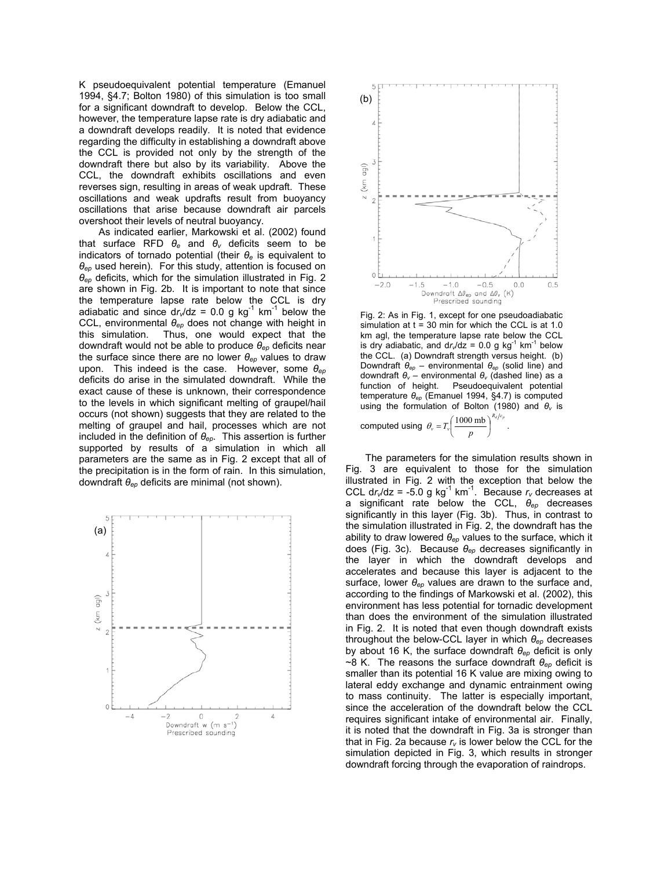K pseudoequivalent potential temperature (Emanuel 1994, §4.7; Bolton 1980) of this simulation is too small for a significant downdraft to develop. Below the CCL, however, the temperature lapse rate is dry adiabatic and a downdraft develops readily. It is noted that evidence regarding the difficulty in establishing a downdraft above the CCL is provided not only by the strength of the downdraft there but also by its variability. Above the CCL, the downdraft exhibits oscillations and even reverses sign, resulting in areas of weak updraft. These oscillations and weak updrafts result from buoyancy oscillations that arise because downdraft air parcels overshoot their levels of neutral buoyancy.

As indicated earlier, Markowski et al. (2002) found that surface RFD *θe* and *θv* deficits seem to be indicators of tornado potential (their *θe* is equivalent to *θep* used herein). For this study, attention is focused on *θep* deficits, which for the simulation illustrated in Fig. 2 are shown in Fig. 2b. It is important to note that since the temperature lapse rate below the CCL is dry adiabatic and since  $dr/dz = 0.0$  g kg<sup>-1</sup> km<sup>-1</sup> below the CCL, environmental *θep* does not change with height in this simulation. Thus, one would expect that the downdraft would not be able to produce *θep* deficits near the surface since there are no lower *θep* values to draw upon. This indeed is the case. However, some *θep* deficits do arise in the simulated downdraft. While the exact cause of these is unknown, their correspondence to the levels in which significant melting of graupel/hail occurs (not shown) suggests that they are related to the melting of graupel and hail, processes which are not included in the definition of *θep*. This assertion is further supported by results of a simulation in which all parameters are the same as in Fig. 2 except that all of the precipitation is in the form of rain. In this simulation, downdraft *θep* deficits are minimal (not shown).





Fig. 2: As in Fig. 1, except for one pseudoadiabatic simulation at  $t = 30$  min for which the CCL is at 1.0 km agl, the temperature lapse rate below the CCL is dry adiabatic, and  $dr/dz = 0.0$  g kg<sup>-1</sup> km<sup>-1</sup> below the CCL. (a) Downdraft strength versus height. (b) Downdraft *θep* – environmental *θep* (solid line) and downdraft *θv* – environmental *θv* (dashed line) as a function of height. Pseudoequivalent potential temperature *θep* (Emanuel 1994, §4.7) is computed using the formulation of Bolton (1980) and *θv* is

computed using  $\theta_v = T_v \left( \frac{1000 \text{ mb}}{2} \right)^{R_d/c_p}$  $\theta_v = T_v \left( \frac{1000 \text{ mb}}{p} \right)^{\frac{N_d}{c_v}}$ .

The parameters for the simulation results shown in Fig. 3 are equivalent to those for the simulation illustrated in Fig. 2 with the exception that below the CCL dr<sub>v</sub>/dz = -5.0 g kg<sup>-1</sup> km<sup>-1</sup>. Because  $r_v$  decreases at a significant rate below the CCL, *θep* decreases significantly in this layer (Fig. 3b). Thus, in contrast to the simulation illustrated in Fig. 2, the downdraft has the ability to draw lowered *θep* values to the surface, which it does (Fig. 3c). Because *θep* decreases significantly in the layer in which the downdraft develops and accelerates and because this layer is adjacent to the surface, lower *θep* values are drawn to the surface and, according to the findings of Markowski et al. (2002), this environment has less potential for tornadic development than does the environment of the simulation illustrated in Fig. 2. It is noted that even though downdraft exists throughout the below-CCL layer in which *θep* decreases by about 16 K, the surface downdraft *θep* deficit is only ~8 K. The reasons the surface downdraft *θep* deficit is smaller than its potential 16 K value are mixing owing to lateral eddy exchange and dynamic entrainment owing to mass continuity. The latter is especially important, since the acceleration of the downdraft below the CCL requires significant intake of environmental air. Finally, it is noted that the downdraft in Fig. 3a is stronger than that in Fig. 2a because  $r_v$  is lower below the CCL for the simulation depicted in Fig. 3, which results in stronger downdraft forcing through the evaporation of raindrops.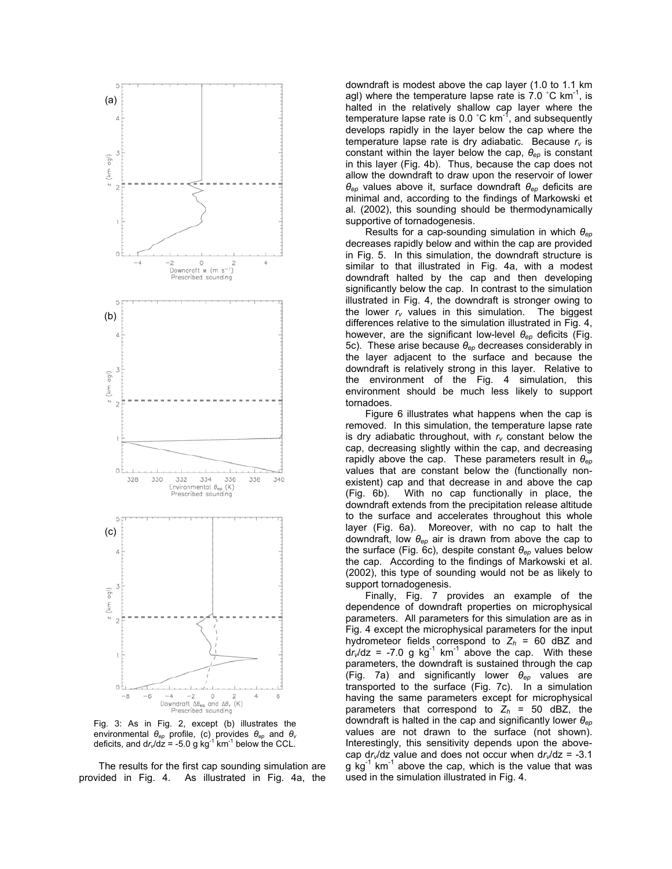

Fig. 3: As in Fig. 2, except (b) illustrates the environmental *θep* profile, (c) provides *θep* and *θ<sup>v</sup>* deficits, and  $dr/dz = -5.0$  g kg<sup>-1</sup> km<sup>-1</sup> below the CCL.

The results for the first cap sounding simulation are provided in Fig. 4. As illustrated in Fig. 4a, the downdraft is modest above the cap layer (1.0 to 1.1 km agl) where the temperature lapse rate is  $7.0\degree$ C km<sup>-1</sup>, is halted in the relatively shallow cap layer where the temperature lapse rate is  $0.0\degree$ C km<sup>-1</sup>, and subsequently develops rapidly in the layer below the cap where the temperature lapse rate is dry adiabatic. Because  $r_v$  is constant within the layer below the cap, *θep* is constant in this layer (Fig. 4b). Thus, because the cap does not allow the downdraft to draw upon the reservoir of lower *θep* values above it, surface downdraft *θep* deficits are minimal and, according to the findings of Markowski et al. (2002), this sounding should be thermodynamically supportive of tornadogenesis.

Results for a cap-sounding simulation in which *θep* decreases rapidly below and within the cap are provided in Fig. 5. In this simulation, the downdraft structure is similar to that illustrated in Fig. 4a, with a modest downdraft halted by the cap and then developing significantly below the cap. In contrast to the simulation illustrated in Fig. 4, the downdraft is stronger owing to the lower  $r_v$  values in this simulation. The biggest differences relative to the simulation illustrated in Fig. 4, however, are the significant low-level *θep* deficits (Fig. 5c). These arise because *θep* decreases considerably in the layer adjacent to the surface and because the downdraft is relatively strong in this layer. Relative to the environment of the Fig. 4 simulation, this environment should be much less likely to support tornadoes.

Figure 6 illustrates what happens when the cap is removed. In this simulation, the temperature lapse rate is dry adiabatic throughout, with  $r_v$  constant below the cap, decreasing slightly within the cap, and decreasing rapidly above the cap. These parameters result in *θep* values that are constant below the (functionally nonexistent) cap and that decrease in and above the cap (Fig. 6b). With no cap functionally in place, the downdraft extends from the precipitation release altitude to the surface and accelerates throughout this whole layer (Fig. 6a). Moreover, with no cap to halt the downdraft, low *θep* air is drawn from above the cap to the surface (Fig. 6c), despite constant *θep* values below the cap. According to the findings of Markowski et al. (2002), this type of sounding would not be as likely to support tornadogenesis.

Finally, Fig. 7 provides an example of the dependence of downdraft properties on microphysical parameters. All parameters for this simulation are as in Fig. 4 except the microphysical parameters for the input hydrometeor fields correspond to  $Z_h$  = 60 dBZ and  $\frac{dr}{dz}$  = -7.0 g kg<sup>-1</sup> km<sup>-1</sup> above the cap. With these parameters, the downdraft is sustained through the cap (Fig. 7a) and significantly lower *θep* values are transported to the surface (Fig. 7c). In a simulation having the same parameters except for microphysical parameters that correspond to  $Z_h$  = 50 dBZ, the downdraft is halted in the cap and significantly lower *θep* values are not drawn to the surface (not shown). Interestingly, this sensitivity depends upon the abovecap d*rv*/dz value and does not occur when d*rv*/dz = -3.1  $g$  kg<sup>-1</sup> km<sup>-1</sup> above the cap, which is the value that was used in the simulation illustrated in Fig. 4.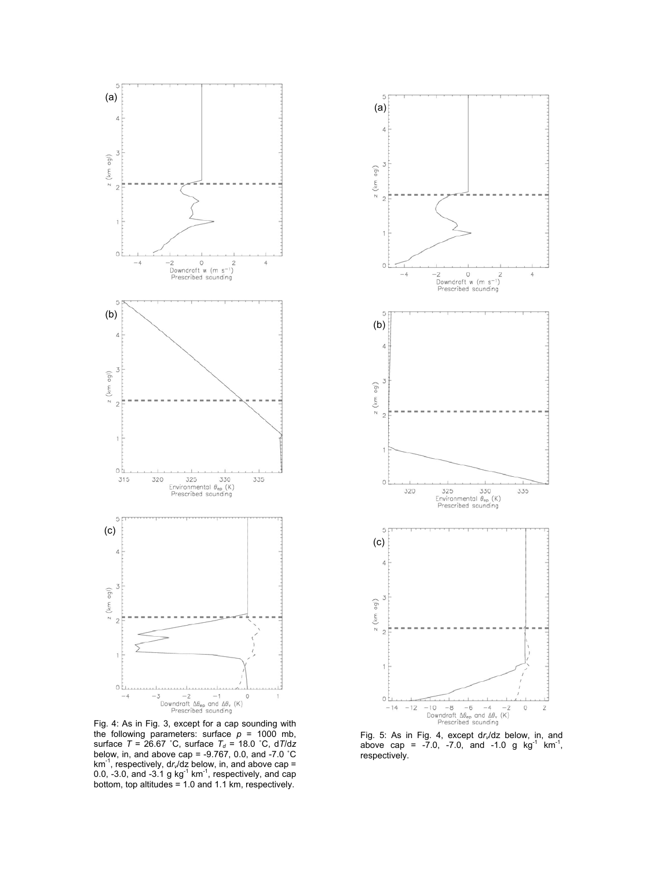

Fig. 4: As in Fig. 3, except for a cap sounding with the following parameters: surface  $p = 1000$  mb, surface *T* = 26.67 °C, surface *T<sub>d</sub>* = 18.0 °C, d*T*/dz below, in, and above cap = -9.767, 0.0, and -7.0 ˚C km-1, respectively, d*rv*/dz below, in, and above cap = 0.0, -3.0, and -3.1 g kg<sup>-1</sup> km<sup>-1</sup>, respectively, and cap bottom, top altitudes = 1.0 and 1.1 km, respectively.



Fig. 5: As in Fig. 4, except d*r*,/dz below, in, and<br>above cap = -7.0, -7.0, and -1.0 g kg<sup>-1</sup> km<sup>-1</sup>, respectively.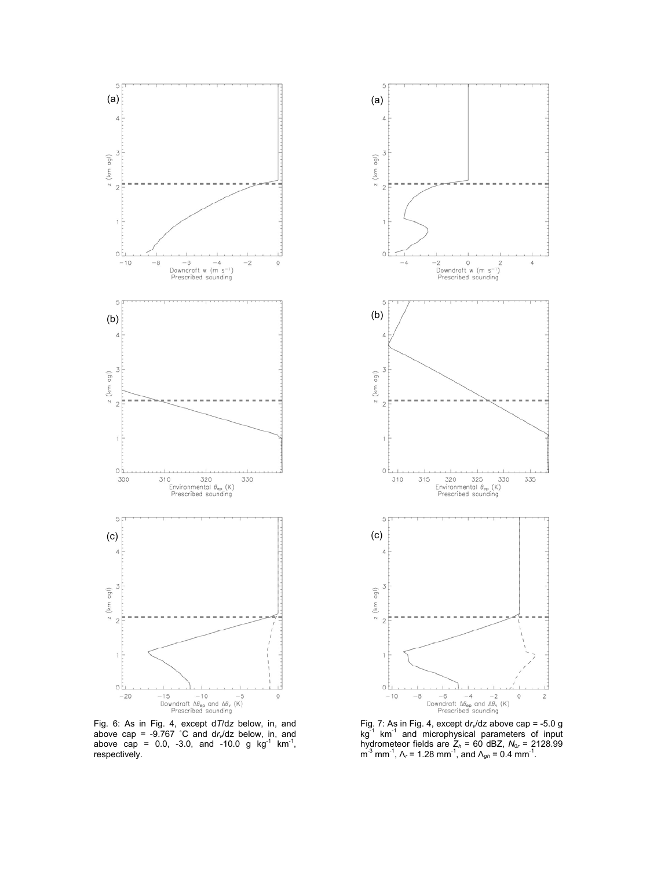

Fig. 6: As in Fig. 4, except d*T*/d*z* below, in, and above cap =  $-9.767$  °C and dr<sub>v</sub>/dz below, in, and above cap = 0.0,  $-3.0$ , and  $-10.0$  g kg<sup>-1</sup> km<sup>-1</sup>, respectively.



Fig. 7: As in Fig. 4, except d*r*,/dz above cap = -5.0 g<br>kg<sup>-1</sup> km<sup>-1</sup> and microphysical parameters of input hydrometeor fields are *Zh* = 60 dBZ, *N*0*r* = 2128.99 m-3 mm-1, Λ*r* = 1.28 mm-1, and Λ*gh* = 0.4 mm-1.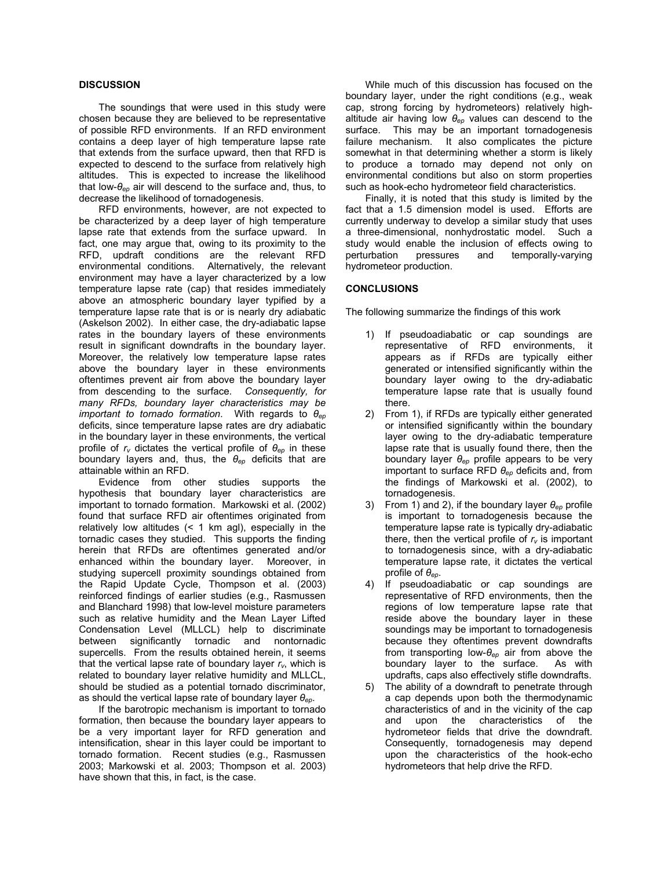## **DISCUSSION**

 The soundings that were used in this study were chosen because they are believed to be representative of possible RFD environments. If an RFD environment contains a deep layer of high temperature lapse rate that extends from the surface upward, then that RFD is expected to descend to the surface from relatively high altitudes. This is expected to increase the likelihood that low-*θep* air will descend to the surface and, thus, to decrease the likelihood of tornadogenesis.

 RFD environments, however, are not expected to be characterized by a deep layer of high temperature lapse rate that extends from the surface upward. In fact, one may argue that, owing to its proximity to the RFD, updraft conditions are the relevant RFD environmental conditions. Alternatively, the relevant environment may have a layer characterized by a low temperature lapse rate (cap) that resides immediately above an atmospheric boundary layer typified by a temperature lapse rate that is or is nearly dry adiabatic (Askelson 2002). In either case, the dry-adiabatic lapse rates in the boundary layers of these environments result in significant downdrafts in the boundary layer. Moreover, the relatively low temperature lapse rates above the boundary layer in these environments oftentimes prevent air from above the boundary layer from descending to the surface. *Consequently, for many RFDs, boundary layer characteristics may be important to tornado formation*. With regards to *θep* deficits, since temperature lapse rates are dry adiabatic in the boundary layer in these environments, the vertical profile of  $r_v$  dictates the vertical profile of  $\theta_{ep}$  in these boundary layers and, thus, the *θep* deficits that are attainable within an RFD.

 Evidence from other studies supports the hypothesis that boundary layer characteristics are important to tornado formation. Markowski et al. (2002) found that surface RFD air oftentimes originated from relatively low altitudes (< 1 km agl), especially in the tornadic cases they studied. This supports the finding herein that RFDs are oftentimes generated and/or enhanced within the boundary layer. Moreover, in studying supercell proximity soundings obtained from the Rapid Update Cycle, Thompson et al. (2003) reinforced findings of earlier studies (e.g., Rasmussen and Blanchard 1998) that low-level moisture parameters such as relative humidity and the Mean Layer Lifted Condensation Level (MLLCL) help to discriminate between significantly tornadic and nontornadic supercells. From the results obtained herein, it seems that the vertical lapse rate of boundary layer  $r_v$ , which is related to boundary layer relative humidity and MLLCL, should be studied as a potential tornado discriminator, as should the vertical lapse rate of boundary layer *θep*.

 If the barotropic mechanism is important to tornado formation, then because the boundary layer appears to be a very important layer for RFD generation and intensification, shear in this layer could be important to tornado formation. Recent studies (e.g., Rasmussen 2003; Markowski et al. 2003; Thompson et al. 2003) have shown that this, in fact, is the case.

 While much of this discussion has focused on the boundary layer, under the right conditions (e.g., weak cap, strong forcing by hydrometeors) relatively highaltitude air having low *θep* values can descend to the surface. This may be an important tornadogenesis failure mechanism. It also complicates the picture somewhat in that determining whether a storm is likely to produce a tornado may depend not only on environmental conditions but also on storm properties such as hook-echo hydrometeor field characteristics.

 Finally, it is noted that this study is limited by the fact that a 1.5 dimension model is used. Efforts are currently underway to develop a similar study that uses a three-dimensional, nonhydrostatic model. Such a study would enable the inclusion of effects owing to perturbation pressures and temporally-varying hydrometeor production.

# **CONCLUSIONS**

The following summarize the findings of this work

- 1) If pseudoadiabatic or cap soundings are representative of RFD environments, it appears as if RFDs are typically either generated or intensified significantly within the boundary layer owing to the dry-adiabatic temperature lapse rate that is usually found there.
- 2) From 1), if RFDs are typically either generated or intensified significantly within the boundary layer owing to the dry-adiabatic temperature lapse rate that is usually found there, then the boundary layer *θep* profile appears to be very important to surface RFD *θep* deficits and, from the findings of Markowski et al. (2002), to tornadogenesis.
- 3) From 1) and 2), if the boundary layer *θep* profile is important to tornadogenesis because the temperature lapse rate is typically dry-adiabatic there, then the vertical profile of  $r_v$  is important to tornadogenesis since, with a dry-adiabatic temperature lapse rate, it dictates the vertical profile of *θep*.
- 4) If pseudoadiabatic or cap soundings are representative of RFD environments, then the regions of low temperature lapse rate that reside above the boundary layer in these soundings may be important to tornadogenesis because they oftentimes prevent downdrafts from transporting low-*θep* air from above the boundary layer to the surface. As with updrafts, caps also effectively stifle downdrafts.
- 5) The ability of a downdraft to penetrate through a cap depends upon both the thermodynamic characteristics of and in the vicinity of the cap and upon the characteristics of the hydrometeor fields that drive the downdraft. Consequently, tornadogenesis may depend upon the characteristics of the hook-echo hydrometeors that help drive the RFD.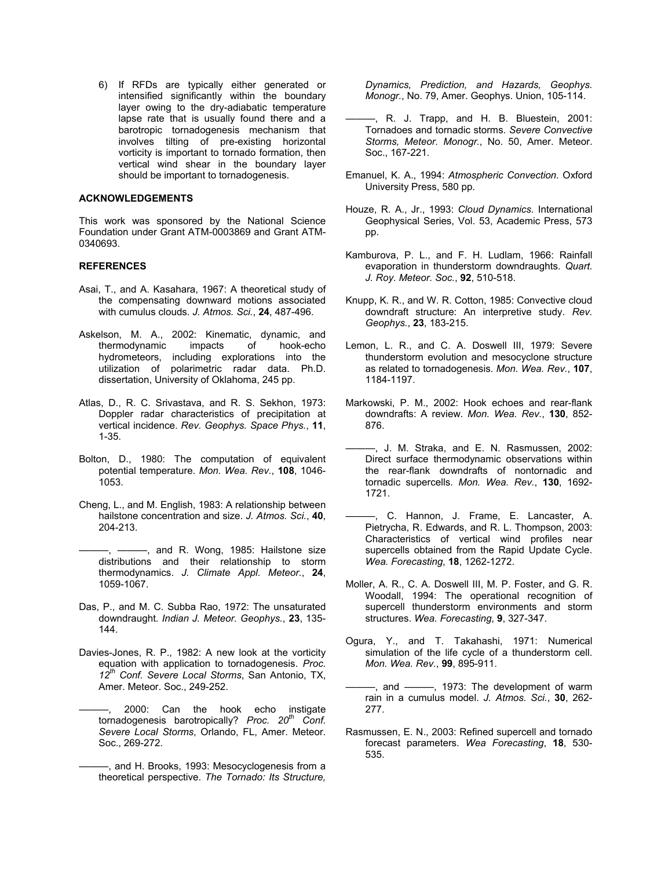6) If RFDs are typically either generated or intensified significantly within the boundary layer owing to the dry-adiabatic temperature lapse rate that is usually found there and a barotropic tornadogenesis mechanism that involves tilting of pre-existing horizontal vorticity is important to tornado formation, then vertical wind shear in the boundary layer should be important to tornadogenesis.

# **ACKNOWLEDGEMENTS**

This work was sponsored by the National Science Foundation under Grant ATM-0003869 and Grant ATM-0340693.

# **REFERENCES**

- Asai, T., and A. Kasahara, 1967: A theoretical study of the compensating downward motions associated with cumulus clouds. *J. Atmos. Sci.*, **24**, 487-496.
- Askelson, M. A., 2002: Kinematic, dynamic, and<br>thermodynamic impacts of hook-echo thermodynamic impacts of hook-echo hydrometeors, including explorations into the utilization of polarimetric radar data. Ph.D. dissertation, University of Oklahoma, 245 pp.
- Atlas, D., R. C. Srivastava, and R. S. Sekhon, 1973: Doppler radar characteristics of precipitation at vertical incidence. *Rev. Geophys. Space Phys.*, **11**, 1-35.
- Bolton, D., 1980: The computation of equivalent potential temperature. *Mon. Wea. Rev.*, **108**, 1046- 1053.
- Cheng, L., and M. English, 1983: A relationship between hailstone concentration and size. *J. Atmos. Sci.*, **40**, 204-213.
- $-$ , and R. Wong, 1985: Hailstone size distributions and their relationship to storm thermodynamics. *J. Climate Appl. Meteor.*, **24**, 1059-1067.
- Das, P., and M. C. Subba Rao, 1972: The unsaturated downdraught. *Indian J. Meteor. Geophys.*, **23**, 135- 144.
- Davies-Jones, R. P., 1982: A new look at the vorticity equation with application to tornadogenesis. *Proc. 12th Conf. Severe Local Storms*, San Antonio, TX, Amer. Meteor. Soc., 249-252.
- 2000: Can the hook echo instigate tornadogenesis barotropically? *Proc.* 20<sup>th</sup> Conf. *Severe Local Storms*, Orlando, FL, Amer. Meteor. Soc., 269-272.
	- ———, and H. Brooks, 1993: Mesocyclogenesis from a theoretical perspective. *The Tornado: Its Structure,*

*Dynamics, Prediction, and Hazards, Geophys. Monogr.*, No. 79, Amer. Geophys. Union, 105-114.

- ———, R. J. Trapp, and H. B. Bluestein, 2001: Tornadoes and tornadic storms. *Severe Convective Storms, Meteor. Monogr.*, No. 50, Amer. Meteor. Soc., 167-221.
- Emanuel, K. A., 1994: *Atmospheric Convection*. Oxford University Press, 580 pp.
- Houze, R. A., Jr., 1993: *Cloud Dynamics*. International Geophysical Series, Vol. 53, Academic Press, 573 pp.
- Kamburova, P. L., and F. H. Ludlam, 1966: Rainfall evaporation in thunderstorm downdraughts. *Quart. J. Roy. Meteor. Soc.*, **92**, 510-518.
- Knupp, K. R., and W. R. Cotton, 1985: Convective cloud downdraft structure: An interpretive study. *Rev. Geophys.*, **23**, 183-215.
- Lemon, L. R., and C. A. Doswell III, 1979: Severe thunderstorm evolution and mesocyclone structure as related to tornadogenesis. *Mon. Wea. Rev.*, **107**, 1184-1197.
- Markowski, P. M., 2002: Hook echoes and rear-flank downdrafts: A review. *Mon. Wea. Rev.*, **130**, 852- 876.
- ———, J. M. Straka, and E. N. Rasmussen, 2002: Direct surface thermodynamic observations within the rear-flank downdrafts of nontornadic and tornadic supercells. *Mon. Wea. Rev.*, **130**, 1692- 1721.
- ———, C. Hannon, J. Frame, E. Lancaster, A. Pietrycha, R. Edwards, and R. L. Thompson, 2003: Characteristics of vertical wind profiles near supercells obtained from the Rapid Update Cycle. *Wea. Forecasting*, **18**, 1262-1272.
- Moller, A. R., C. A. Doswell III, M. P. Foster, and G. R. Woodall, 1994: The operational recognition of supercell thunderstorm environments and storm structures. *Wea. Forecasting*, **9**, 327-347.
- Ogura, Y., and T. Takahashi, 1971: Numerical simulation of the life cycle of a thunderstorm cell. *Mon. Wea. Rev.*, **99**, 895-911.
- -, and ------, 1973: The development of warm rain in a cumulus model. *J. Atmos. Sci.*, **30**, 262- 277.
- Rasmussen, E. N., 2003: Refined supercell and tornado forecast parameters. *Wea Forecasting*, **18**, 530- 535.